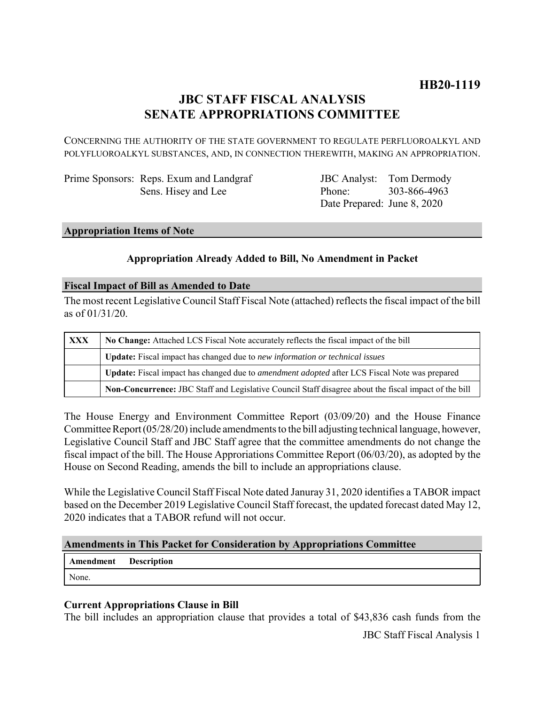# **JBC STAFF FISCAL ANALYSIS SENATE APPROPRIATIONS COMMITTEE**

CONCERNING THE AUTHORITY OF THE STATE GOVERNMENT TO REGULATE PERFLUOROALKYL AND POLYFLUOROALKYL SUBSTANCES, AND, IN CONNECTION THEREWITH, MAKING AN APPROPRIATION.

Prime Sponsors: Reps. Exum and Landgraf Sens. Hisey and Lee

JBC Analyst: Tom Dermody Phone: Date Prepared: June 8, 2020 303-866-4963

#### **Appropriation Items of Note**

### **Appropriation Already Added to Bill, No Amendment in Packet**

#### **Fiscal Impact of Bill as Amended to Date**

The most recent Legislative Council Staff Fiscal Note (attached) reflects the fiscal impact of the bill as of 01/31/20.

| <b>XXX</b> | No Change: Attached LCS Fiscal Note accurately reflects the fiscal impact of the bill                 |
|------------|-------------------------------------------------------------------------------------------------------|
|            | Update: Fiscal impact has changed due to new information or technical issues                          |
|            | Update: Fiscal impact has changed due to <i>amendment adopted</i> after LCS Fiscal Note was prepared  |
|            | Non-Concurrence: JBC Staff and Legislative Council Staff disagree about the fiscal impact of the bill |

The House Energy and Environment Committee Report (03/09/20) and the House Finance Committee Report (05/28/20) include amendments to the bill adjusting technical language, however, Legislative Council Staff and JBC Staff agree that the committee amendments do not change the fiscal impact of the bill. The House Approriations Committee Report (06/03/20), as adopted by the House on Second Reading, amends the bill to include an appropriations clause.

While the Legislative Council Staff Fiscal Note dated Januray 31, 2020 identifies a TABOR impact based on the December 2019 Legislative Council Staff forecast, the updated forecast dated May 12, 2020 indicates that a TABOR refund will not occur.

#### **Amendments in This Packet for Consideration by Appropriations Committee**

**Amendment Description** None.

#### **Current Appropriations Clause in Bill**

The bill includes an appropriation clause that provides a total of \$43,836 cash funds from the JBC Staff Fiscal Analysis 1